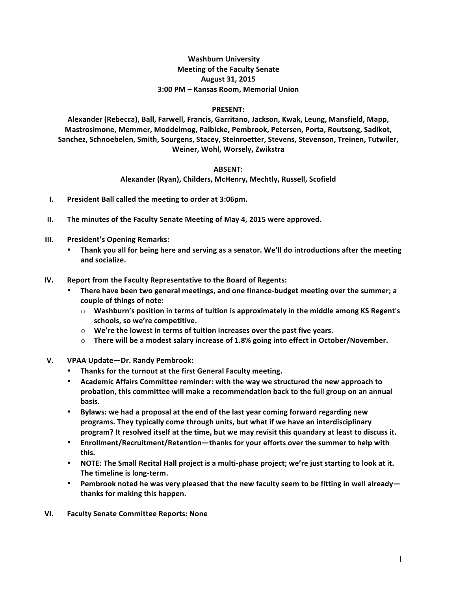## **Washburn University Meeting of the Faculty Senate August 31, 2015 3:00 PM – Kansas Room, Memorial Union**

## **PRESENT:**

Alexander (Rebecca), Ball, Farwell, Francis, Garritano, Jackson, Kwak, Leung, Mansfield, Mapp, Mastrosimone, Memmer, Moddelmog, Palbicke, Pembrook, Petersen, Porta, Routsong, Sadikot, Sanchez, Schnoebelen, Smith, Sourgens, Stacey, Steinroetter, Stevens, Stevenson, Treinen, Tutwiler, **Weiner, Wohl, Worsely, Zwikstra**

## **ABSENT:**

Alexander (Ryan), Childers, McHenry, Mechtly, Russell, Scofield

- **I.** President Ball called the meeting to order at 3:06pm.
- **II.** The minutes of the Faculty Senate Meeting of May 4, 2015 were approved.
- **III.** President's Opening Remarks:
	- Thank you all for being here and serving as a senator. We'll do introductions after the meeting **and socialize.**
- **IV.** Report from the Faculty Representative to the Board of Regents:
	- There have been two general meetings, and one finance-budget meeting over the summer; a **couple of things of note:**
		- $\circ$  **Washburn's position in terms of tuition is approximately in the middle among KS Regent's** schools, so we're competitive.
		- $\circ$  **We're the lowest in terms of tuition increases over the past five years.**
		- $\circ$  There will be a modest salary increase of 1.8% going into effect in October/November.
- **V. VPAA Update—Dr. Randy Pembrook:**
	- **•** Thanks for the turnout at the first General Faculty meeting.
	- Academic Affairs Committee reminder: with the way we structured the new approach to **probation, this committee will make a recommendation back to the full group on an annual basis.**
	- Bylaws: we had a proposal at the end of the last year coming forward regarding new programs. They typically come through units, but what if we have an interdisciplinary **program?** It resolved itself at the time, but we may revisit this quandary at least to discuss it.
	- Enrollment/Recruitment/Retention—thanks for your efforts over the summer to help with **this.**
	- NOTE: The Small Recital Hall project is a multi-phase project; we're just starting to look at it. The timeline is long-term.
	- Pembrook noted he was very pleased that the new faculty seem to be fitting in well already **thanks for making this happen.**
- **VI. Faculty Senate Committee Reports: None**